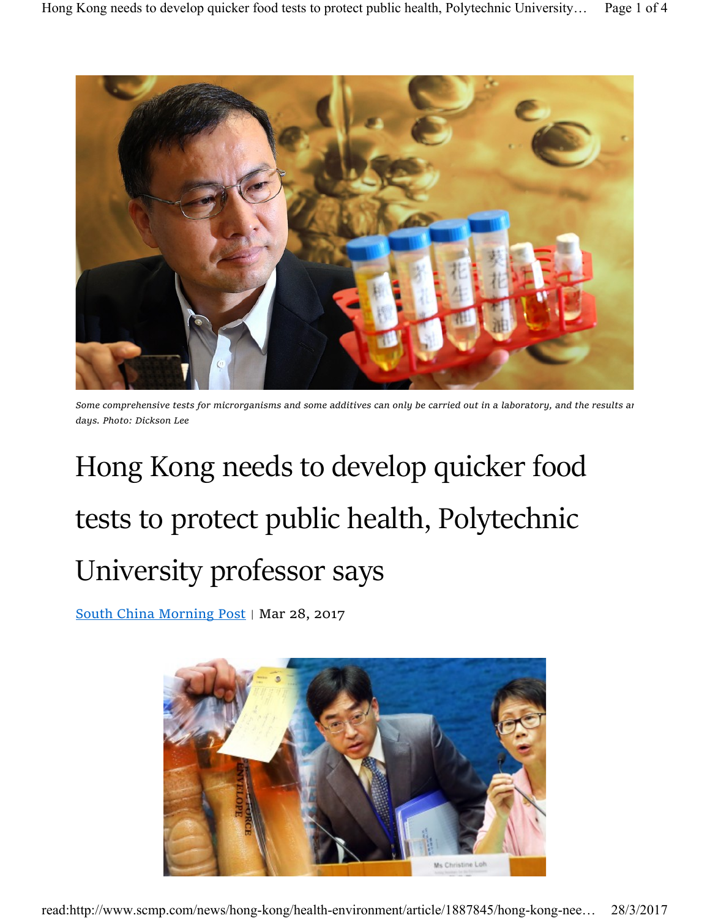

Some comprehensive tests for microrganisms and some additives can only be carried out in a laboratory, and the results ar days. Photo: Dickson Lee

## Hong Kong needs to develop quicker food tests to protect public health, Polytechnic University professor says

South China Morning Post | Mar 28, 2017

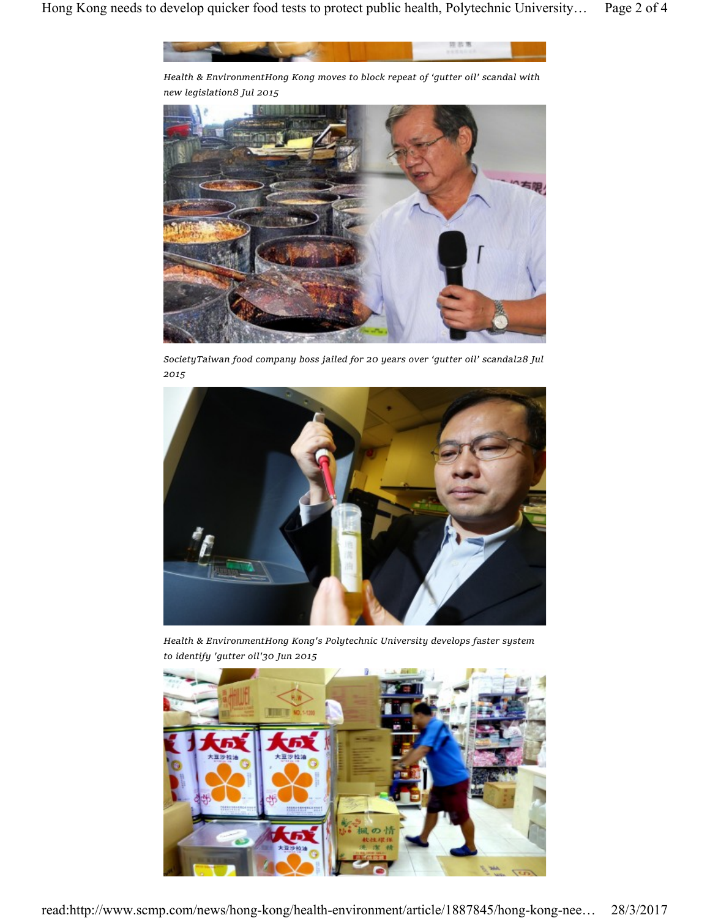

Health & EnvironmentHong Kong moves to block repeat of 'gutter oil' scandal with new legislation8 Jul 2015



SocietyTaiwan food company boss jailed for 20 years over 'gutter oil' scandal28 Jul 2015



Health & EnvironmentHong Kong's Polytechnic University develops faster system to identify 'gutter oil'30 Jun 2015

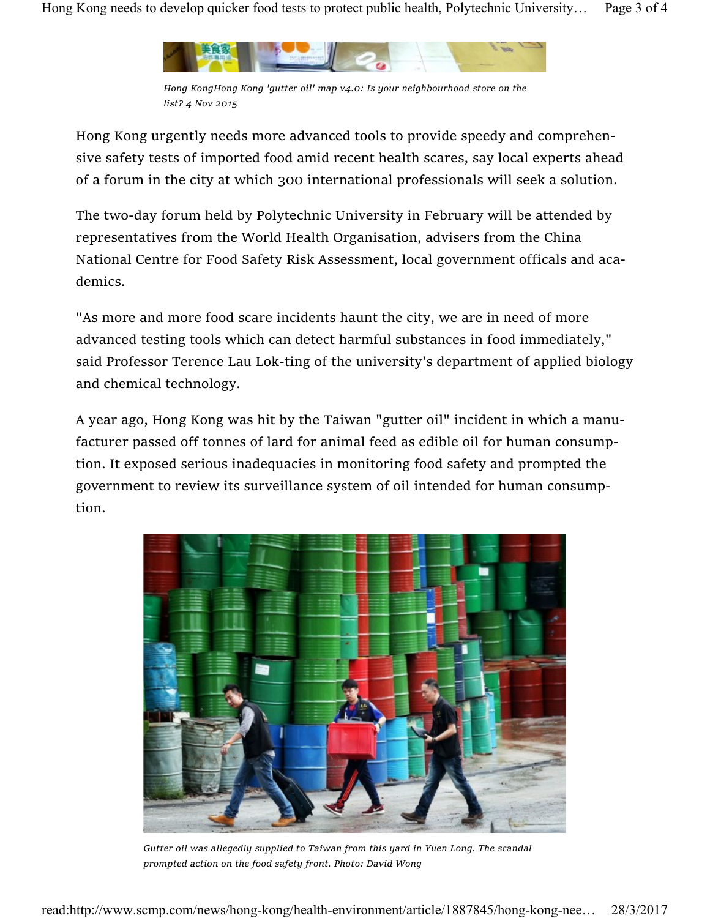

Hong KongHong Kong 'gutter oil' map v4.0: Is your neighbourhood store on the list? 4 Nov 2015

Hong Kong urgently needs more advanced tools to provide speedy and comprehensive safety tests of imported food amid recent health scares, say local experts ahead of a forum in the city at which 300 international professionals will seek a solution.

The two-day forum held by Polytechnic University in February will be attended by representatives from the World Health Organisation, advisers from the China National Centre for Food Safety Risk Assessment, local government officals and academics.

"As more and more food scare incidents haunt the city, we are in need of more advanced testing tools which can detect harmful substances in food immediately," said Professor Terence Lau Lok-ting of the university's department of applied biology and chemical technology.

A year ago, Hong Kong was hit by the Taiwan "gutter oil" incident in which a manufacturer passed off tonnes of lard for animal feed as edible oil for human consumption. It exposed serious inadequacies in monitoring food safety and prompted the government to review its surveillance system of oil intended for human consumption.



Gutter oil was allegedly supplied to Taiwan from this yard in Yuen Long. The scandal prompted action on the food safety front. Photo: David Wong